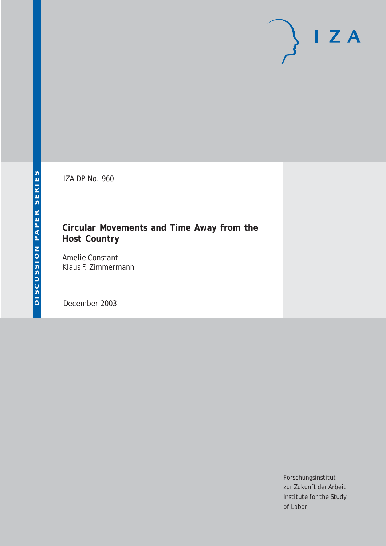# $\mathsf{I}$  Z A

IZA DP No. 960

## **Circular Movements and Time Away from the Host Country**

Amelie Constant Klaus F. Zimmermann

December 2003

Forschungsinstitut zur Zukunft der Arbeit Institute for the Study of Labor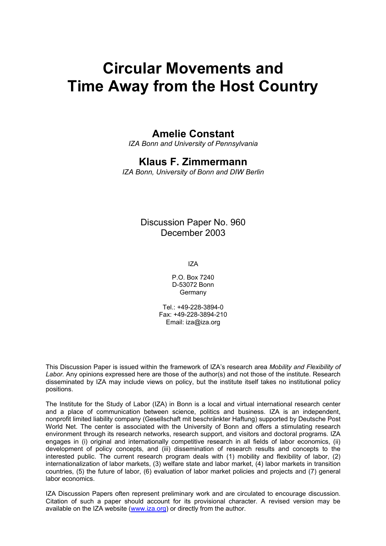# **Circular Movements and Time Away from the Host Country**

### **Amelie Constant**

*IZA Bonn and University of Pennsylvania* 

#### **Klaus F. Zimmermann**

*IZA Bonn, University of Bonn and DIW Berlin* 

#### Discussion Paper No. 960 December 2003

IZA

P.O. Box 7240 D-53072 Bonn Germany

Tel.: +49-228-3894-0 Fax: +49-228-3894-210 Email: [iza@iza.org](mailto:iza@iza.org)

This Discussion Paper is issued within the framework of IZA's research area *Mobility and Flexibility of Labor.* Any opinions expressed here are those of the author(s) and not those of the institute. Research disseminated by IZA may include views on policy, but the institute itself takes no institutional policy positions.

The Institute for the Study of Labor (IZA) in Bonn is a local and virtual international research center and a place of communication between science, politics and business. IZA is an independent, nonprofit limited liability company (Gesellschaft mit beschränkter Haftung) supported by Deutsche Post World Net. The center is associated with the University of Bonn and offers a stimulating research environment through its research networks, research support, and visitors and doctoral programs. IZA engages in (i) original and internationally competitive research in all fields of labor economics, (ii) development of policy concepts, and (iii) dissemination of research results and concepts to the interested public. The current research program deals with (1) mobility and flexibility of labor, (2) internationalization of labor markets, (3) welfare state and labor market, (4) labor markets in transition countries, (5) the future of labor, (6) evaluation of labor market policies and projects and (7) general labor economics.

IZA Discussion Papers often represent preliminary work and are circulated to encourage discussion. Citation of such a paper should account for its provisional character. A revised version may be available on the IZA website ([www.iza.org](http://www.iza.org/)) or directly from the author.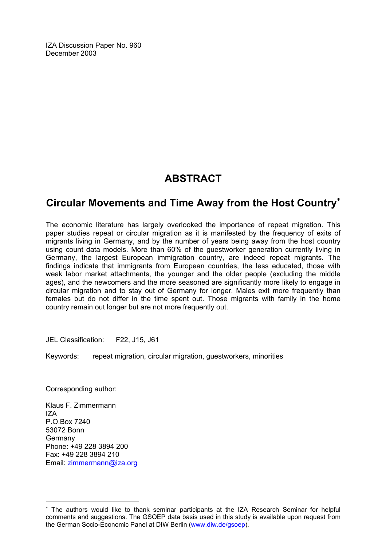IZA Discussion Paper No. 960 December 2003

## **ABSTRACT**

## **Circular Movements and Time Away from the Host Country**[∗](#page-2-0)

The economic literature has largely overlooked the importance of repeat migration. This paper studies repeat or circular migration as it is manifested by the frequency of exits of migrants living in Germany, and by the number of years being away from the host country using count data models. More than 60% of the guestworker generation currently living in Germany, the largest European immigration country, are indeed repeat migrants. The findings indicate that immigrants from European countries, the less educated, those with weak labor market attachments, the younger and the older people (excluding the middle ages), and the newcomers and the more seasoned are significantly more likely to engage in circular migration and to stay out of Germany for longer. Males exit more frequently than females but do not differ in the time spent out. Those migrants with family in the home country remain out longer but are not more frequently out.

JEL Classification: F22, J15, J61

Keywords: repeat migration, circular migration, guestworkers, minorities

Corresponding author:

Klaus F. Zimmermann IZA P.O.Box 7240 53072 Bonn Germany Phone: +49 228 3894 200 Fax: +49 228 3894 210 Email: [zimmermann@iza.org](mailto:zimmermann@iza.org)

 $\overline{a}$ 

<span id="page-2-0"></span><sup>∗</sup> The authors would like to thank seminar participants at the IZA Research Seminar for helpful comments and suggestions. The GSOEP data basis used in this study is available upon request from the German Socio-Economic Panel at DIW Berlin ([www.diw.de/gsoep\)](http://www.diw.de/gsoep).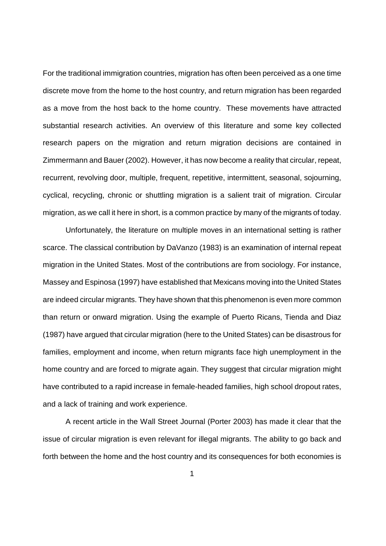For the traditional immigration countries, migration has often been perceived as a one time discrete move from the home to the host country, and return migration has been regarded as a move from the host back to the home country. These movements have attracted substantial research activities. An overview of this literature and some key collected research papers on the migration and return migration decisions are contained in Zimmermann and Bauer (2002). However, it has now become a reality that circular, repeat, recurrent, revolving door, multiple, frequent, repetitive, intermittent, seasonal, sojourning, cyclical, recycling, chronic or shuttling migration is a salient trait of migration. Circular migration, as we call it here in short, is a common practice by many of the migrants of today.

 Unfortunately, the literature on multiple moves in an international setting is rather scarce. The classical contribution by DaVanzo (1983) is an examination of internal repeat migration in the United States. Most of the contributions are from sociology. For instance, Massey and Espinosa (1997) have established that Mexicans moving into the United States are indeed circular migrants. They have shown that this phenomenon is even more common than return or onward migration. Using the example of Puerto Ricans, Tienda and Diaz (1987) have argued that circular migration (here to the United States) can be disastrous for families, employment and income, when return migrants face high unemployment in the home country and are forced to migrate again. They suggest that circular migration might have contributed to a rapid increase in female-headed families, high school dropout rates, and a lack of training and work experience.

 A recent article in the Wall Street Journal (Porter 2003) has made it clear that the issue of circular migration is even relevant for illegal migrants. The ability to go back and forth between the home and the host country and its consequences for both economies is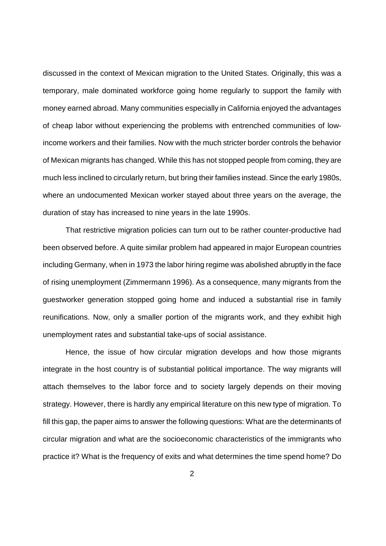discussed in the context of Mexican migration to the United States. Originally, this was a temporary, male dominated workforce going home regularly to support the family with money earned abroad. Many communities especially in California enjoyed the advantages of cheap labor without experiencing the problems with entrenched communities of lowincome workers and their families. Now with the much stricter border controls the behavior of Mexican migrants has changed. While this has not stopped people from coming, they are much less inclined to circularly return, but bring their families instead. Since the early 1980s, where an undocumented Mexican worker stayed about three years on the average, the duration of stay has increased to nine years in the late 1990s.

 That restrictive migration policies can turn out to be rather counter-productive had been observed before. A quite similar problem had appeared in major European countries including Germany, when in 1973 the labor hiring regime was abolished abruptly in the face of rising unemployment (Zimmermann 1996). As a consequence, many migrants from the guestworker generation stopped going home and induced a substantial rise in family reunifications. Now, only a smaller portion of the migrants work, and they exhibit high unemployment rates and substantial take-ups of social assistance.

Hence, the issue of how circular migration develops and how those migrants integrate in the host country is of substantial political importance. The way migrants will attach themselves to the labor force and to society largely depends on their moving strategy. However, there is hardly any empirical literature on this new type of migration. To fill this gap, the paper aims to answer the following questions: What are the determinants of circular migration and what are the socioeconomic characteristics of the immigrants who practice it? What is the frequency of exits and what determines the time spend home? Do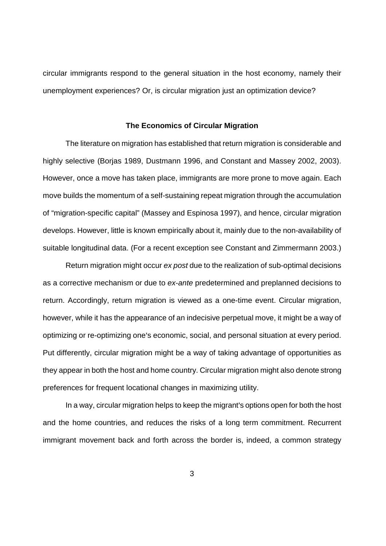circular immigrants respond to the general situation in the host economy, namely their unemployment experiences? Or, is circular migration just an optimization device?

#### **The Economics of Circular Migration**

The literature on migration has established that return migration is considerable and highly selective (Borjas 1989, Dustmann 1996, and Constant and Massey 2002, 2003). However, once a move has taken place, immigrants are more prone to move again. Each move builds the momentum of a self-sustaining repeat migration through the accumulation of "migration-specific capital" (Massey and Espinosa 1997), and hence, circular migration develops. However, little is known empirically about it, mainly due to the non-availability of suitable longitudinal data. (For a recent exception see Constant and Zimmermann 2003.)

Return migration might occur ex post due to the realization of sub-optimal decisions as a corrective mechanism or due to ex-ante predetermined and preplanned decisions to return. Accordingly, return migration is viewed as a one-time event. Circular migration, however, while it has the appearance of an indecisive perpetual move, it might be a way of optimizing or re-optimizing one's economic, social, and personal situation at every period. Put differently, circular migration might be a way of taking advantage of opportunities as they appear in both the host and home country. Circular migration might also denote strong preferences for frequent locational changes in maximizing utility.

In a way, circular migration helps to keep the migrant's options open for both the host and the home countries, and reduces the risks of a long term commitment. Recurrent immigrant movement back and forth across the border is, indeed, a common strategy

 $\sim$  3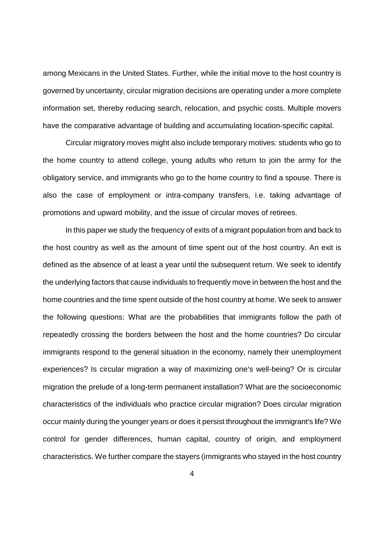among Mexicans in the United States. Further, while the initial move to the host country is governed by uncertainty, circular migration decisions are operating under a more complete information set, thereby reducing search, relocation, and psychic costs. Multiple movers have the comparative advantage of building and accumulating location-specific capital.

Circular migratory moves might also include temporary motives: students who go to the home country to attend college, young adults who return to join the army for the obligatory service, and immigrants who go to the home country to find a spouse. There is also the case of employment or intra-company transfers, i.e. taking advantage of promotions and upward mobility, and the issue of circular moves of retirees.

 In this paper we study the frequency of exits of a migrant population from and back to the host country as well as the amount of time spent out of the host country. An exit is defined as the absence of at least a year until the subsequent return. We seek to identify the underlying factors that cause individuals to frequently move in between the host and the home countries and the time spent outside of the host country at home. We seek to answer the following questions: What are the probabilities that immigrants follow the path of repeatedly crossing the borders between the host and the home countries? Do circular immigrants respond to the general situation in the economy, namely their unemployment experiences? Is circular migration a way of maximizing one's well-being? Or is circular migration the prelude of a long-term permanent installation? What are the socioeconomic characteristics of the individuals who practice circular migration? Does circular migration occur mainly during the younger years or does it persist throughout the immigrant's life? We control for gender differences, human capital, country of origin, and employment characteristics. We further compare the stayers (immigrants who stayed in the host country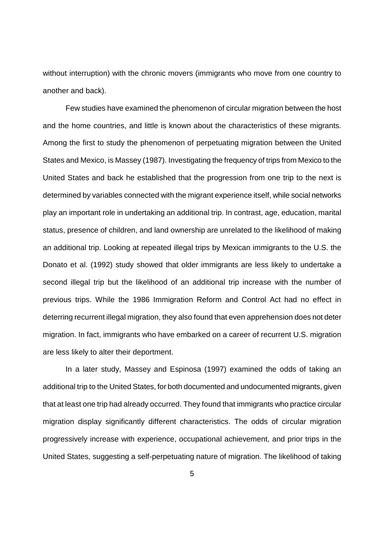without interruption) with the chronic movers (immigrants who move from one country to another and back).

Few studies have examined the phenomenon of circular migration between the host and the home countries, and little is known about the characteristics of these migrants. Among the first to study the phenomenon of perpetuating migration between the United States and Mexico, is Massey (1987). Investigating the frequency of trips from Mexico to the United States and back he established that the progression from one trip to the next is determined by variables connected with the migrant experience itself, while social networks play an important role in undertaking an additional trip. In contrast, age, education, marital status, presence of children, and land ownership are unrelated to the likelihood of making an additional trip. Looking at repeated illegal trips by Mexican immigrants to the U.S. the Donato et al. (1992) study showed that older immigrants are less likely to undertake a second illegal trip but the likelihood of an additional trip increase with the number of previous trips. While the 1986 Immigration Reform and Control Act had no effect in deterring recurrent illegal migration, they also found that even apprehension does not deter migration. In fact, immigrants who have embarked on a career of recurrent U.S. migration are less likely to alter their deportment.

In a later study, Massey and Espinosa (1997) examined the odds of taking an additional trip to the United States, for both documented and undocumented migrants, given that at least one trip had already occurred. They found that immigrants who practice circular migration display significantly different characteristics. The odds of circular migration progressively increase with experience, occupational achievement, and prior trips in the United States, suggesting a self-perpetuating nature of migration. The likelihood of taking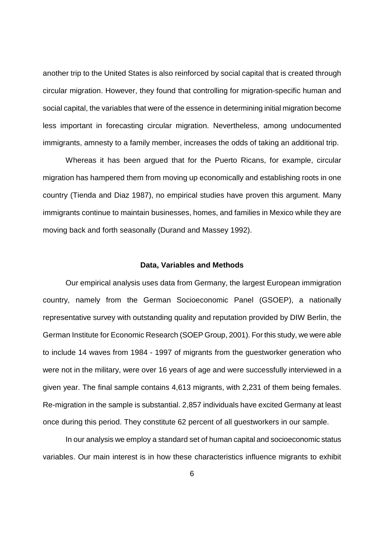another trip to the United States is also reinforced by social capital that is created through circular migration. However, they found that controlling for migration-specific human and social capital, the variables that were of the essence in determining initial migration become less important in forecasting circular migration. Nevertheless, among undocumented immigrants, amnesty to a family member, increases the odds of taking an additional trip.

Whereas it has been argued that for the Puerto Ricans, for example, circular migration has hampered them from moving up economically and establishing roots in one country (Tienda and Diaz 1987), no empirical studies have proven this argument. Many immigrants continue to maintain businesses, homes, and families in Mexico while they are moving back and forth seasonally (Durand and Massey 1992).

#### **Data, Variables and Methods**

Our empirical analysis uses data from Germany, the largest European immigration country, namely from the German Socioeconomic Panel (GSOEP), a nationally representative survey with outstanding quality and reputation provided by DIW Berlin, the German Institute for Economic Research (SOEP Group, 2001). For this study, we were able to include 14 waves from 1984 - 1997 of migrants from the guestworker generation who were not in the military, were over 16 years of age and were successfully interviewed in a given year. The final sample contains 4,613 migrants, with 2,231 of them being females. Re-migration in the sample is substantial. 2,857 individuals have excited Germany at least once during this period. They constitute 62 percent of all guestworkers in our sample.

In our analysis we employ a standard set of human capital and socioeconomic status variables. Our main interest is in how these characteristics influence migrants to exhibit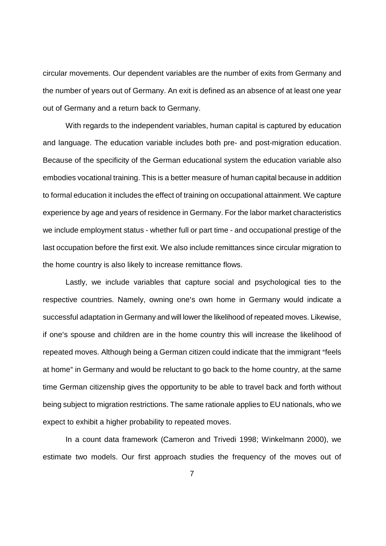circular movements. Our dependent variables are the number of exits from Germany and the number of years out of Germany. An exit is defined as an absence of at least one year out of Germany and a return back to Germany.

With regards to the independent variables, human capital is captured by education and language. The education variable includes both pre- and post-migration education. Because of the specificity of the German educational system the education variable also embodies vocational training. This is a better measure of human capital because in addition to formal education it includes the effect of training on occupational attainment. We capture experience by age and years of residence in Germany. For the labor market characteristics we include employment status - whether full or part time - and occupational prestige of the last occupation before the first exit. We also include remittances since circular migration to the home country is also likely to increase remittance flows.

Lastly, we include variables that capture social and psychological ties to the respective countries. Namely, owning one's own home in Germany would indicate a successful adaptation in Germany and will lower the likelihood of repeated moves. Likewise, if one's spouse and children are in the home country this will increase the likelihood of repeated moves. Although being a German citizen could indicate that the immigrant "feels at home" in Germany and would be reluctant to go back to the home country, at the same time German citizenship gives the opportunity to be able to travel back and forth without being subject to migration restrictions. The same rationale applies to EU nationals, who we expect to exhibit a higher probability to repeated moves.

In a count data framework (Cameron and Trivedi 1998; Winkelmann 2000), we estimate two models. Our first approach studies the frequency of the moves out of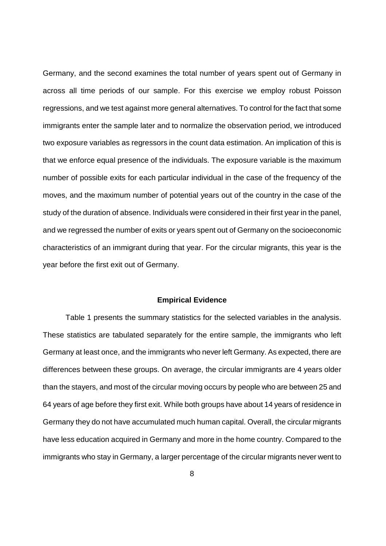Germany, and the second examines the total number of years spent out of Germany in across all time periods of our sample. For this exercise we employ robust Poisson regressions, and we test against more general alternatives. To control for the fact that some immigrants enter the sample later and to normalize the observation period, we introduced two exposure variables as regressors in the count data estimation. An implication of this is that we enforce equal presence of the individuals. The exposure variable is the maximum number of possible exits for each particular individual in the case of the frequency of the moves, and the maximum number of potential years out of the country in the case of the study of the duration of absence. Individuals were considered in their first year in the panel, and we regressed the number of exits or years spent out of Germany on the socioeconomic characteristics of an immigrant during that year. For the circular migrants, this year is the year before the first exit out of Germany.

#### **Empirical Evidence**

Table 1 presents the summary statistics for the selected variables in the analysis. These statistics are tabulated separately for the entire sample, the immigrants who left Germany at least once, and the immigrants who never left Germany. As expected, there are differences between these groups. On average, the circular immigrants are 4 years older than the stayers, and most of the circular moving occurs by people who are between 25 and 64 years of age before they first exit. While both groups have about 14 years of residence in Germany they do not have accumulated much human capital. Overall, the circular migrants have less education acquired in Germany and more in the home country. Compared to the immigrants who stay in Germany, a larger percentage of the circular migrants never went to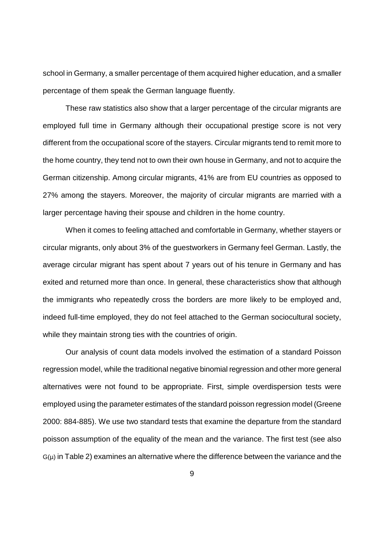school in Germany, a smaller percentage of them acquired higher education, and a smaller percentage of them speak the German language fluently.

These raw statistics also show that a larger percentage of the circular migrants are employed full time in Germany although their occupational prestige score is not very different from the occupational score of the stayers. Circular migrants tend to remit more to the home country, they tend not to own their own house in Germany, and not to acquire the German citizenship. Among circular migrants, 41% are from EU countries as opposed to 27% among the stayers. Moreover, the majority of circular migrants are married with a larger percentage having their spouse and children in the home country.

When it comes to feeling attached and comfortable in Germany, whether stayers or circular migrants, only about 3% of the guestworkers in Germany feel German. Lastly, the average circular migrant has spent about 7 years out of his tenure in Germany and has exited and returned more than once. In general, these characteristics show that although the immigrants who repeatedly cross the borders are more likely to be employed and, indeed full-time employed, they do not feel attached to the German sociocultural society, while they maintain strong ties with the countries of origin.

Our analysis of count data models involved the estimation of a standard Poisson regression model, while the traditional negative binomial regression and other more general alternatives were not found to be appropriate. First, simple overdispersion tests were employed using the parameter estimates of the standard poisson regression model (Greene 2000: 884-885). We use two standard tests that examine the departure from the standard poisson assumption of the equality of the mean and the variance. The first test (see also  $G(\mu)$  in Table 2) examines an alternative where the difference between the variance and the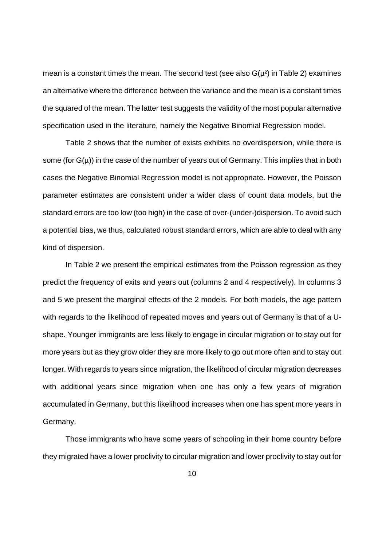mean is a constant times the mean. The second test (see also  $G(\mu^2)$  in Table 2) examines an alternative where the difference between the variance and the mean is a constant times the squared of the mean. The latter test suggests the validity of the most popular alternative specification used in the literature, namely the Negative Binomial Regression model.

Table 2 shows that the number of exists exhibits no overdispersion, while there is some (for  $G(\mu)$ ) in the case of the number of years out of Germany. This implies that in both cases the Negative Binomial Regression model is not appropriate. However, the Poisson parameter estimates are consistent under a wider class of count data models, but the standard errors are too low (too high) in the case of over-(under-)dispersion. To avoid such a potential bias, we thus, calculated robust standard errors, which are able to deal with any kind of dispersion.

In Table 2 we present the empirical estimates from the Poisson regression as they predict the frequency of exits and years out (columns 2 and 4 respectively). In columns 3 and 5 we present the marginal effects of the 2 models. For both models, the age pattern with regards to the likelihood of repeated moves and years out of Germany is that of a Ushape. Younger immigrants are less likely to engage in circular migration or to stay out for more years but as they grow older they are more likely to go out more often and to stay out longer. With regards to years since migration, the likelihood of circular migration decreases with additional years since migration when one has only a few years of migration accumulated in Germany, but this likelihood increases when one has spent more years in Germany.

Those immigrants who have some years of schooling in their home country before they migrated have a lower proclivity to circular migration and lower proclivity to stay out for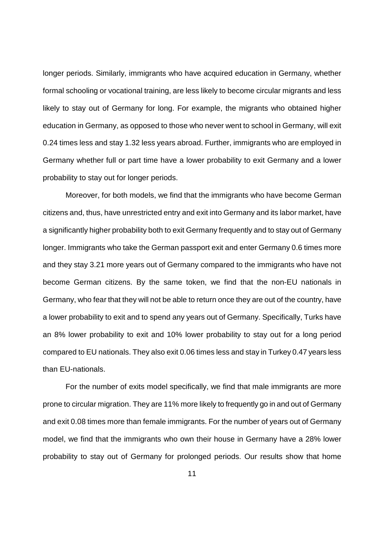longer periods. Similarly, immigrants who have acquired education in Germany, whether formal schooling or vocational training, are less likely to become circular migrants and less likely to stay out of Germany for long. For example, the migrants who obtained higher education in Germany, as opposed to those who never went to school in Germany, will exit 0.24 times less and stay 1.32 less years abroad. Further, immigrants who are employed in Germany whether full or part time have a lower probability to exit Germany and a lower probability to stay out for longer periods.

Moreover, for both models, we find that the immigrants who have become German citizens and, thus, have unrestricted entry and exit into Germany and its labor market, have a significantly higher probability both to exit Germany frequently and to stay out of Germany longer. Immigrants who take the German passport exit and enter Germany 0.6 times more and they stay 3.21 more years out of Germany compared to the immigrants who have not become German citizens. By the same token, we find that the non-EU nationals in Germany, who fear that they will not be able to return once they are out of the country, have a lower probability to exit and to spend any years out of Germany. Specifically, Turks have an 8% lower probability to exit and 10% lower probability to stay out for a long period compared to EU nationals. They also exit 0.06 times less and stay in Turkey 0.47 years less than EU-nationals.

For the number of exits model specifically, we find that male immigrants are more prone to circular migration. They are 11% more likely to frequently go in and out of Germany and exit 0.08 times more than female immigrants. For the number of years out of Germany model, we find that the immigrants who own their house in Germany have a 28% lower probability to stay out of Germany for prolonged periods. Our results show that home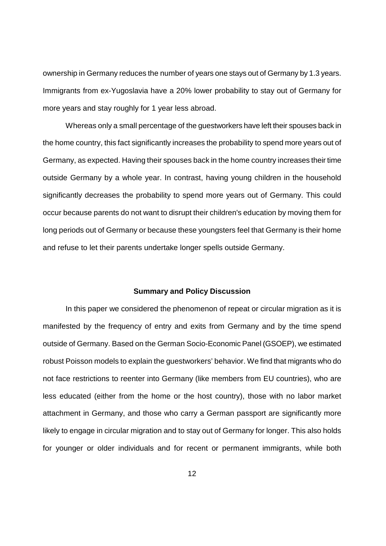ownership in Germany reduces the number of years one stays out of Germany by 1.3 years. Immigrants from ex-Yugoslavia have a 20% lower probability to stay out of Germany for more years and stay roughly for 1 year less abroad.

Whereas only a small percentage of the guestworkers have left their spouses back in the home country, this fact significantly increases the probability to spend more years out of Germany, as expected. Having their spouses back in the home country increases their time outside Germany by a whole year. In contrast, having young children in the household significantly decreases the probability to spend more years out of Germany. This could occur because parents do not want to disrupt their children's education by moving them for long periods out of Germany or because these youngsters feel that Germany is their home and refuse to let their parents undertake longer spells outside Germany.

#### **Summary and Policy Discussion**

In this paper we considered the phenomenon of repeat or circular migration as it is manifested by the frequency of entry and exits from Germany and by the time spend outside of Germany. Based on the German Socio-Economic Panel (GSOEP), we estimated robust Poisson models to explain the guestworkers' behavior. We find that migrants who do not face restrictions to reenter into Germany (like members from EU countries), who are less educated (either from the home or the host country), those with no labor market attachment in Germany, and those who carry a German passport are significantly more likely to engage in circular migration and to stay out of Germany for longer. This also holds for younger or older individuals and for recent or permanent immigrants, while both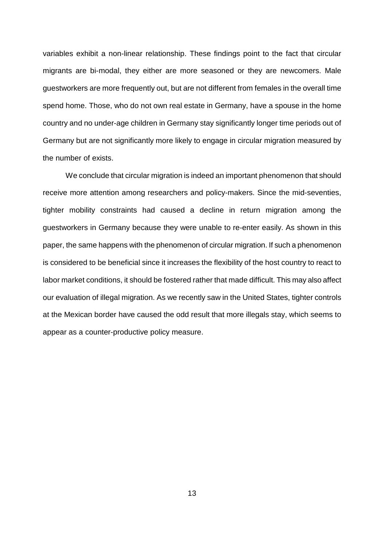variables exhibit a non-linear relationship. These findings point to the fact that circular migrants are bi-modal, they either are more seasoned or they are newcomers. Male guestworkers are more frequently out, but are not different from females in the overall time spend home. Those, who do not own real estate in Germany, have a spouse in the home country and no under-age children in Germany stay significantly longer time periods out of Germany but are not significantly more likely to engage in circular migration measured by the number of exists.

We conclude that circular migration is indeed an important phenomenon that should receive more attention among researchers and policy-makers. Since the mid-seventies, tighter mobility constraints had caused a decline in return migration among the guestworkers in Germany because they were unable to re-enter easily. As shown in this paper, the same happens with the phenomenon of circular migration. If such a phenomenon is considered to be beneficial since it increases the flexibility of the host country to react to labor market conditions, it should be fostered rather that made difficult. This may also affect our evaluation of illegal migration. As we recently saw in the United States, tighter controls at the Mexican border have caused the odd result that more illegals stay, which seems to appear as a counter-productive policy measure.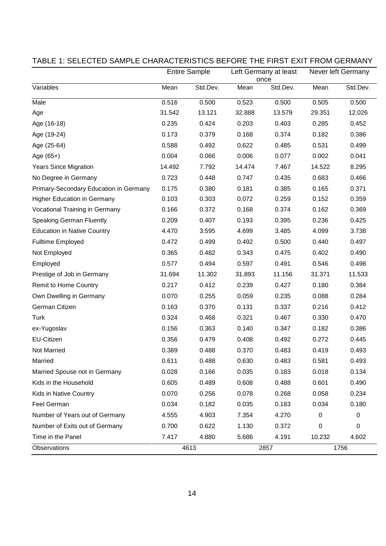|                                        | <b>Entire Sample</b><br>Left Germany at least<br>once |          |        | Never left Germany |        |          |
|----------------------------------------|-------------------------------------------------------|----------|--------|--------------------|--------|----------|
| Variables                              | Mean                                                  | Std.Dev. | Mean   | Std.Dev.           | Mean   | Std.Dev. |
| Male                                   | 0.516                                                 | 0.500    | 0.523  | 0.500              | 0.505  | 0.500    |
| Age                                    | 31.542                                                | 13.121   | 32.888 | 13.579             | 29.351 | 12.026   |
| Age (16-18)                            | 0.235                                                 | 0.424    | 0.203  | 0.403              | 0.285  | 0.452    |
| Age (19-24)                            | 0.173                                                 | 0.379    | 0.168  | 0.374              | 0.182  | 0.386    |
| Age (25-64)                            | 0.588                                                 | 0.492    | 0.622  | 0.485              | 0.531  | 0.499    |
| Age (65+)                              | 0.004                                                 | 0.066    | 0.006  | 0.077              | 0.002  | 0.041    |
| <b>Years Since Migration</b>           | 14.492                                                | 7.792    | 14.474 | 7.467              | 14.522 | 8.295    |
| No Degree in Germany                   | 0.723                                                 | 0.448    | 0.747  | 0.435              | 0.683  | 0.466    |
| Primary-Secondary Education in Germany | 0.175                                                 | 0.380    | 0.181  | 0.385              | 0.165  | 0.371    |
| <b>Higher Education in Germany</b>     | 0.103                                                 | 0.303    | 0.072  | 0.259              | 0.152  | 0.359    |
| Vocational Training in Germany         | 0.166                                                 | 0.372    | 0.168  | 0.374              | 0.162  | 0.369    |
| <b>Speaking German Fluently</b>        | 0.209                                                 | 0.407    | 0.193  | 0.395              | 0.236  | 0.425    |
| <b>Education in Native Country</b>     | 4.470                                                 | 3.595    | 4.699  | 3.485              | 4.099  | 3.738    |
| <b>Fulltime Employed</b>               | 0.472                                                 | 0.499    | 0.492  | 0.500              | 0.440  | 0.497    |
| Not Employed                           | 0.365                                                 | 0.482    | 0.343  | 0.475              | 0.402  | 0.490    |
| Employed                               | 0.577                                                 | 0.494    | 0.597  | 0.491              | 0.546  | 0.498    |
| Prestige of Job in Germany             | 31.694                                                | 11.302   | 31.893 | 11.156             | 31.371 | 11.533   |
| <b>Remit to Home Country</b>           | 0.217                                                 | 0.412    | 0.239  | 0.427              | 0.180  | 0.384    |
| Own Dwelling in Germany                | 0.070                                                 | 0.255    | 0.059  | 0.235              | 0.088  | 0.284    |
| German Citizen                         | 0.163                                                 | 0.370    | 0.131  | 0.337              | 0.216  | 0.412    |
| Turk                                   | 0.324                                                 | 0.468    | 0.321  | 0.467              | 0.330  | 0.470    |
| ex-Yugoslav                            | 0.156                                                 | 0.363    | 0.140  | 0.347              | 0.182  | 0.386    |
| EU-Citizen                             | 0.356                                                 | 0.479    | 0.408  | 0.492              | 0.272  | 0.445    |
| Not Married                            | 0.389                                                 | 0.488    | 0.370  | 0.483              | 0.419  | 0.493    |
| Married                                | 0.611                                                 | 0.488    | 0.630  | 0.483              | 0.581  | 0.493    |
| Married Spouse not in Germany          | 0.028                                                 | 0.166    | 0.035  | 0.183              | 0.018  | 0.134    |
| Kids in the Household                  | 0.605                                                 | 0.489    | 0.608  | 0.488              | 0.601  | 0.490    |
| Kids in Native Country                 | 0.070                                                 | 0.256    | 0.078  | 0.268              | 0.058  | 0.234    |
| Feel German                            | 0.034                                                 | 0.182    | 0.035  | 0.183              | 0.034  | 0.180    |
| Number of Years out of Germany         | 4.555                                                 | 4.903    | 7.354  | 4.270              | 0      | 0        |
| Number of Exits out of Germany         | 0.700                                                 | 0.622    | 1.130  | 0.372              | 0      | 0        |
| Time in the Panel                      | 7.417                                                 | 4.880    | 5.686  | 4.191              | 10.232 | 4.602    |
| Observations                           |                                                       | 4613     |        | 2857               |        | 1756     |

#### TABLE 1: SELECTED SAMPLE CHARACTERISTICS BEFORE THE FIRST EXIT FROM GERMANY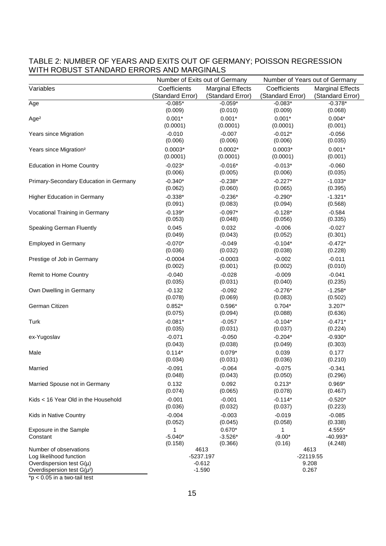#### TABLE 2: NUMBER OF YEARS AND EXITS OUT OF GERMANY; POISSON REGRESSION WITH ROBUST STANDARD ERRORS AND MARGINALS

|                                                         | Number of Exits out of Germany |                                         | Number of Years out of Germany |                         |  |
|---------------------------------------------------------|--------------------------------|-----------------------------------------|--------------------------------|-------------------------|--|
| Variables                                               | Coefficients                   | <b>Marginal Effects</b><br>Coefficients |                                | <b>Marginal Effects</b> |  |
|                                                         | (Standard Error)               | (Standard Error)                        | (Standard Error)               | (Standard Error)        |  |
| Age                                                     | $-0.085*$                      | $-0.059*$                               | $-0.083*$                      | $-0.378*$               |  |
|                                                         | (0.009)                        | (0.010)                                 | (0.009)                        | (0.068)                 |  |
| Age <sup>2</sup>                                        | $0.001*$                       | $0.001*$                                | $0.001*$                       | $0.004*$                |  |
|                                                         | (0.0001)                       | (0.0001)                                | (0.0001)                       | (0.001)                 |  |
| Years since Migration                                   | $-0.010$                       | $-0.007$                                | $-0.012*$                      | $-0.056$                |  |
|                                                         | (0.006)                        | (0.006)                                 | (0.006)                        | (0.035)                 |  |
| Years since Migration <sup>2</sup>                      | $0.0003*$                      | $0.0002*$<br>(0.0001)                   | $0.0003*$                      | $0.001*$                |  |
|                                                         | (0.0001)                       |                                         | (0.0001)                       | (0.001)                 |  |
| <b>Education in Home Country</b>                        | $-0.023*$<br>(0.006)           | $-0.016*$<br>(0.005)                    | $-0.013*$<br>(0.006)           | $-0.060$<br>(0.035)     |  |
|                                                         | $-0.340*$                      | $-0.238*$                               | $-0.227*$                      | $-1.033*$               |  |
| Primary-Secondary Education in Germany                  | (0.062)                        | (0.060)                                 | (0.065)                        | (0.395)                 |  |
| Higher Education in Germany                             | $-0.338*$                      | $-0.236*$                               | $-0.290*$                      | $-1.321*$               |  |
|                                                         | (0.091)                        | (0.083)                                 | (0.094)                        | (0.568)                 |  |
| Vocational Training in Germany                          | $-0.139*$                      | $-0.097*$                               | $-0.128*$                      | $-0.584$                |  |
|                                                         | (0.053)                        | (0.048)                                 | (0.056)                        | (0.335)                 |  |
| <b>Speaking German Fluently</b>                         | 0.045                          | 0.032                                   | $-0.006$                       | $-0.027$                |  |
|                                                         | (0.049)                        | (0.043)                                 | (0.052)                        | (0.301)                 |  |
| <b>Employed in Germany</b>                              | $-0.070*$                      | $-0.049$                                | $-0.104*$                      | $-0.472*$               |  |
|                                                         | (0.036)                        | (0.032)                                 | (0.038)                        | (0.228)                 |  |
| Prestige of Job in Germany                              | $-0.0004$                      | $-0.0003$                               | $-0.002$                       | $-0.011$                |  |
|                                                         | (0.002)                        | (0.001)                                 | (0.002)                        | (0.010)                 |  |
| Remit to Home Country                                   | $-0.040$                       | $-0.028$                                | $-0.009$                       | $-0.041$                |  |
|                                                         | (0.035)                        | (0.031)                                 | (0.040)                        | (0.235)                 |  |
| Own Dwelling in Germany                                 | $-0.132$                       | $-0.092$                                | $-0.276*$                      | $-1.258*$               |  |
|                                                         | (0.078)                        | (0.069)                                 | (0.083)                        | (0.502)                 |  |
| German Citizen                                          | $0.852*$                       | $0.596*$                                | $0.704*$                       | $3.207*$                |  |
|                                                         | (0.075)                        | (0.094)                                 | (0.088)                        | (0.636)                 |  |
| Turk                                                    | $-0.081*$                      | $-0.057$                                | $-0.104*$                      | $-0.471*$               |  |
|                                                         | (0.035)                        | (0.031)                                 | (0.037)                        | (0.224)                 |  |
| ex-Yugoslav                                             | $-0.071$                       | $-0.050$                                | $-0.204*$                      | $-0.930*$               |  |
|                                                         | (0.043)                        | (0.038)                                 | (0.049)                        | (0.303)                 |  |
| Male                                                    | $0.114*$                       | $0.079*$                                | 0.039                          | 0.177                   |  |
|                                                         | (0.034)                        | (0.031)                                 | (0.036)                        | (0.210)                 |  |
| Married                                                 | $-0.091$<br>(0.048)            | $-0.064$<br>(0.043)                     | $-0.075$<br>(0.050)            | $-0.341$<br>(0.296)     |  |
|                                                         | 0.132                          | 0.092                                   | $0.213*$                       | $0.969*$                |  |
| Married Spouse not in Germany                           | (0.074)                        | (0.065)                                 | (0.078)                        | (0.467)                 |  |
| Kids < 16 Year Old in the Household                     | $-0.001$                       | $-0.001$                                | $-0.114*$                      | $-0.520*$               |  |
|                                                         | (0.036)                        | (0.032)                                 | (0.037)                        | (0.223)                 |  |
| Kids in Native Country                                  | $-0.004$                       | $-0.003$                                | $-0.019$                       | $-0.085$                |  |
|                                                         | (0.052)                        | (0.045)                                 | (0.058)                        | (0.338)                 |  |
| Exposure in the Sample                                  | 1                              | $0.670*$                                | 1                              | 4.555*                  |  |
| Constant                                                | $-5.040*$                      | $-3.526*$                               | $-9.00*$                       | $-40.993*$              |  |
|                                                         | (0.158)                        | (0.366)                                 | (0.16)                         | (4.248)                 |  |
| Number of observations                                  |                                | 4613                                    |                                | 4613                    |  |
| Log likelihood function<br>Overdispersion test $G(\mu)$ | -5237.197<br>$-0.612$          |                                         | $-22119.55$<br>9.208           |                         |  |
| Overdispersion test $G(\mu^2)$                          | $-1.590$                       |                                         | 0.267                          |                         |  |
|                                                         |                                |                                         |                                |                         |  |

\*p < 0.05 in a two-tail test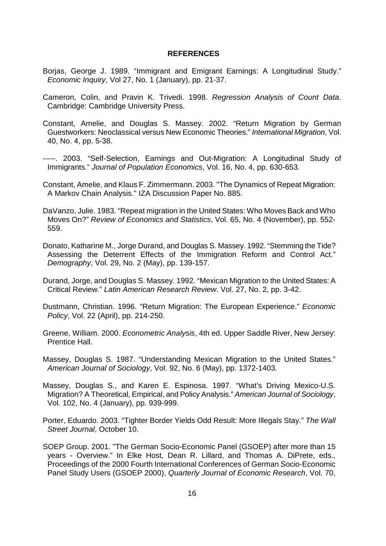#### **REFERENCES**

- Borjas, George J. 1989. "Immigrant and Emigrant Earnings: A Longitudinal Study." Economic Inquiry, Vol 27, No. 1 (January), pp. 21-37.
- Cameron, Colin, and Pravin K. Trivedi. 1998. Regression Analysis of Count Data. Cambridge: Cambridge University Press.
- Constant, Amelie, and Douglas S. Massey. 2002. "Return Migration by German Guestworkers: Neoclassical versus New Economic Theories." International Migration, Vol. 40, No. 4, pp. 5-38.
- -----. 2003. "Self-Selection, Earnings and Out-Migration: A Longitudinal Study of Immigrants." Journal of Population Economics, Vol. 16, No. 4, pp. 630-653.
- Constant, Amelie, and Klaus F. Zimmermann. 2003. "The Dynamics of Repeat Migration: A Markov Chain Analysis." IZA Discussion Paper No. 885.
- DaVanzo, Julie. 1983. "Repeat migration in the United States: Who Moves Back and Who Moves On?" Review of Economics and Statistics, Vol. 65, No. 4 (November), pp. 552- 559.
- Donato, Katharine M., Jorge Durand, and Douglas S. Massey. 1992. "Stemming the Tide? Assessing the Deterrent Effects of the Immigration Reform and Control Act." Demography, Vol. 29, No. 2 (May), pp. 139-157.
- Durand, Jorge, and Douglas S. Massey. 1992. "Mexican Migration to the United States: A Critical Review." Latin American Research Review. Vol. 27, No. 2, pp. 3-42.
- Dustmann, Christian. 1996. "Return Migration: The European Experience." Economic Policy, Vol. 22 (April), pp. 214-250.
- Greene, William. 2000. Econometric Analysis, 4th ed. Upper Saddle River, New Jersey: Prentice Hall.
- Massey, Douglas S. 1987. "Understanding Mexican Migration to the United States." American Journal of Sociology, Vol. 92, No. 6 (May), pp. 1372-1403.
- Massey, Douglas S., and Karen E. Espinosa. 1997. "What's Driving Mexico-U.S. Migration? A Theoretical, Empirical, and Policy Analysis." American Journal of Sociology, Vol. 102, No. 4 (January), pp. 939-999.
- Porter, Eduardo. 2003. "Tighter Border Yields Odd Result: More Illegals Stay." The Wall Street Journal, October 10.
- SOEP Group. 2001. "The German Socio-Economic Panel (GSOEP) after more than 15 years - Overview." In Elke Host, Dean R. Lillard, and Thomas A. DiPrete, eds., Proceedings of the 2000 Fourth International Conferences of German Socio-Economic Panel Study Users (GSOEP 2000), Quarterly Journal of Economic Research, Vol. 70,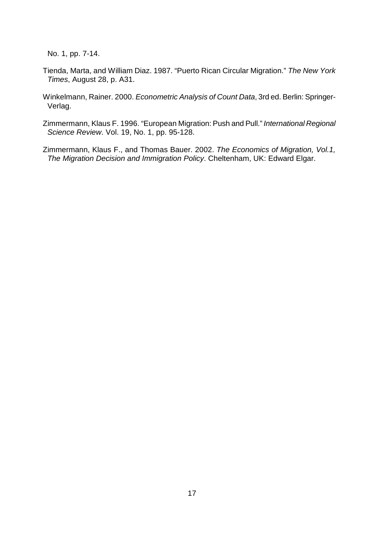No. 1, pp. 7-14.

- Tienda, Marta, and William Diaz. 1987. "Puerto Rican Circular Migration." The New York Times, August 28, p. A31.
- Winkelmann, Rainer. 2000. Econometric Analysis of Count Data, 3rd ed. Berlin: Springer-Verlag.
- Zimmermann, Klaus F. 1996. "European Migration: Push and Pull." International Regional Science Review. Vol. 19, No. 1, pp. 95-128.
- Zimmermann, Klaus F., and Thomas Bauer. 2002. The Economics of Migration, Vol.1, The Migration Decision and Immigration Policy. Cheltenham, UK: Edward Elgar.